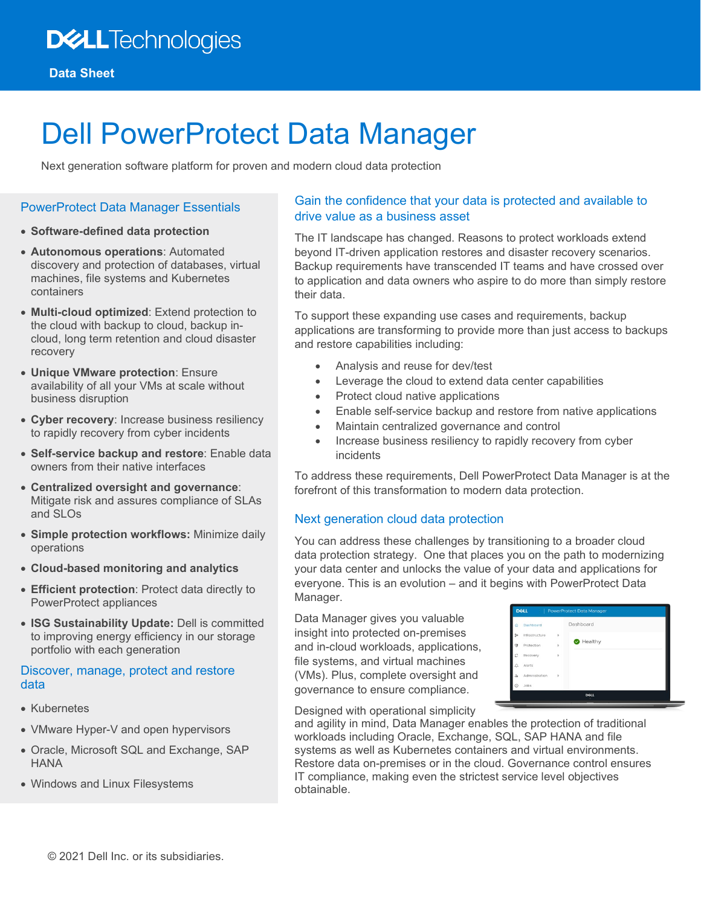# Dell PowerProtect Data Manager

Next generation software platform for proven and modern cloud data protection

#### PowerProtect Data Manager Essentials

- **Software-defined data protection**
- **Autonomous operations**: Automated discovery and protection of databases, virtual machines, file systems and Kubernetes containers
- **Multi-cloud optimized**: Extend protection to the cloud with backup to cloud, backup incloud, long term retention and cloud disaster recovery
- **Unique VMware protection**: Ensure availability of all your VMs at scale without business disruption
- **Cyber recovery**: Increase business resiliency to rapidly recovery from cyber incidents
- **Self-service backup and restore**: Enable data owners from their native interfaces
- **Centralized oversight and governance**: Mitigate risk and assures compliance of SLAs and SLOs
- **Simple protection workflows:** Minimize daily operations
- **Cloud-based monitoring and analytics**
- **Efficient protection**: Protect data directly to PowerProtect appliances
- **ISG Sustainability Update:** Dell is committed to improving energy efficiency in our storage portfolio with each generation

#### Discover, manage, protect and restore data

- Kubernetes
- VMware Hyper-V and open hypervisors
- Oracle, Microsoft SQL and Exchange, SAP HANA
- Windows and Linux Filesystems

## Gain the confidence that your data is protected and available to drive value as a business asset

The IT landscape has changed. Reasons to protect workloads extend beyond IT-driven application restores and disaster recovery scenarios. Backup requirements have transcended IT teams and have crossed over to application and data owners who aspire to do more than simply restore their data.

To support these expanding use cases and requirements, backup applications are transforming to provide more than just access to backups and restore capabilities including:

- Analysis and reuse for dev/test
- Leverage the cloud to extend data center capabilities
- Protect cloud native applications
- Enable self-service backup and restore from native applications
- Maintain centralized governance and control
- Increase business resiliency to rapidly recovery from cyber incidents

To address these requirements, Dell PowerProtect Data Manager is at the forefront of this transformation to modern data protection.

## Next generation cloud data protection

You can address these challenges by transitioning to a broader cloud data protection strategy. One that places you on the path to modernizing your data center and unlocks the value of your data and applications for everyone. This is an evolution – and it begins with PowerProtect Data Manager.

Data Manager gives you valuable insight into protected on-premises and in-cloud workloads, applications, file systems, and virtual machines (VMs). Plus, complete oversight and governance to ensure compliance.

| Dashboard<br>⋒         |               | Dashboard |  |
|------------------------|---------------|-----------|--|
| go.<br>Infrastructure  | $\,$          |           |  |
| Θ<br>Protection        | þ.            | Healthy   |  |
| c<br>Recovery          | b             |           |  |
| Δ<br>Alerts            |               |           |  |
| å.<br>Administration   | $\rightarrow$ |           |  |
| $\odot$<br><b>Jobs</b> |               |           |  |

Designed with operational simplicity

and agility in mind, Data Manager enables the protection of traditional workloads including Oracle, Exchange, SQL, SAP HANA and file systems as well as Kubernetes containers and virtual environments. Restore data on-premises or in the cloud. Governance control ensures IT compliance, making even the strictest service level objectives obtainable.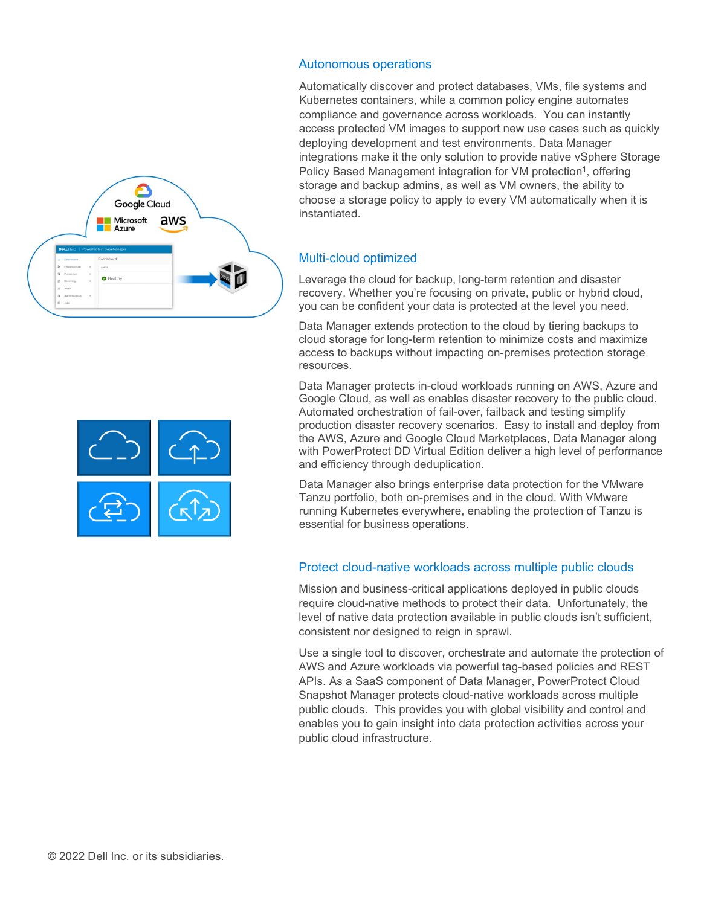

#### Autonomous operations

Automatically discover and protect databases, VMs, file systems and Kubernetes containers, while a common policy engine automates compliance and governance across workloads. You can instantly access protected VM images to support new use cases such as quickly deploying development and test environments. Data Manager integrations make it the only solution to provide native vSphere Storage Policy Based Management integration for VM protection<sup>1</sup>, offering storage and backup admins, as well as VM owners, the ability to choose a storage policy to apply to every VM automatically when it is instantiated.

## Multi-cloud optimized

Leverage the cloud for backup, long-term retention and disaster recovery. Whether you're focusing on private, public or hybrid cloud, you can be confident your data is protected at the level you need.

Data Manager extends protection to the cloud by tiering backups to cloud storage for long-term retention to minimize costs and maximize access to backups without impacting on-premises protection storage resources.

Data Manager protects in-cloud workloads running on AWS, Azure and Google Cloud, as well as enables disaster recovery to the public cloud. Automated orchestration of fail-over, failback and testing simplify production disaster recovery scenarios. Easy to install and deploy from the AWS, Azure and Google Cloud Marketplaces, Data Manager along with PowerProtect DD Virtual Edition deliver a high level of performance and efficiency through deduplication.

Data Manager also brings enterprise data protection for the VMware Tanzu portfolio, both on-premises and in the cloud. With VMware running Kubernetes everywhere, enabling the protection of Tanzu is essential for business operations.

## Protect cloud-native workloads across multiple public clouds

Mission and business-critical applications deployed in public clouds require cloud-native methods to protect their data. Unfortunately, the level of native data protection available in public clouds isn't sufficient, consistent nor designed to reign in sprawl.

Use a single tool to discover, orchestrate and automate the protection of AWS and Azure workloads via powerful tag-based policies and REST APIs. As a SaaS component of Data Manager, PowerProtect Cloud Snapshot Manager protects cloud-native workloads across multiple public clouds. This provides you with global visibility and control and enables you to gain insight into data protection activities across your public cloud infrastructure.

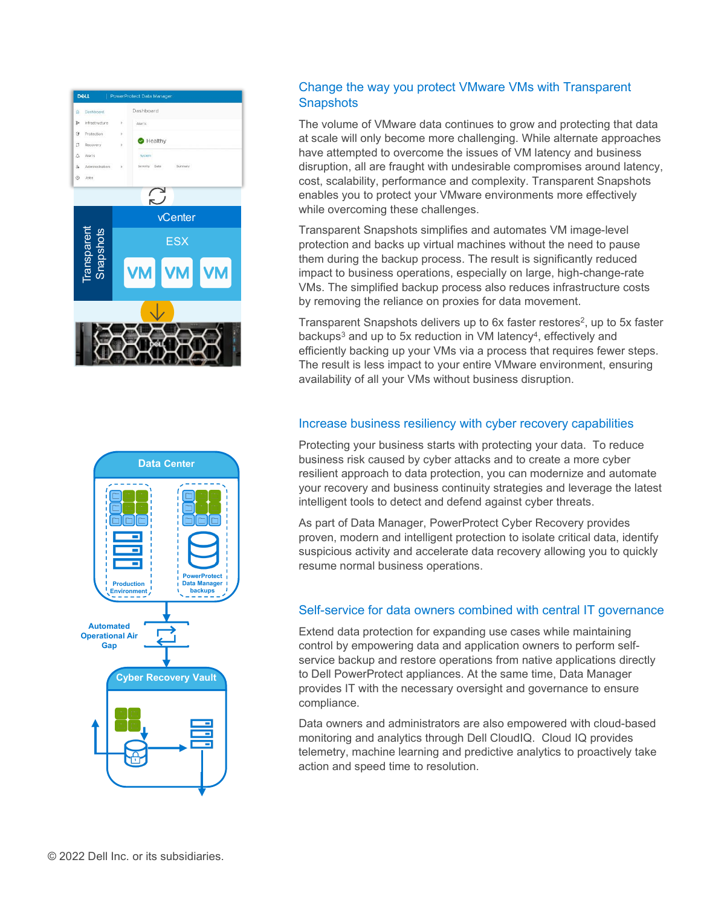



# Change the way you protect VMware VMs with Transparent **Snapshots**

The volume of VMware data continues to grow and protecting that data at scale will only become more challenging. While alternate approaches have attempted to overcome the issues of VM latency and business disruption, all are fraught with undesirable compromises around latency, cost, scalability, performance and complexity. Transparent Snapshots enables you to protect your VMware environments more effectively while overcoming these challenges.

Transparent Snapshots simplifies and automates VM image-level protection and backs up virtual machines without the need to pause them during the backup process. The result is significantly reduced impact to business operations, especially on large, high-change-rate VMs. The simplified backup process also reduces infrastructure costs by removing the reliance on proxies for data movement.

Transparent Snapshots delivers up to 6x faster restores<sup>2</sup>, up to 5x faster backups<sup>3</sup> and up to 5x reduction in VM latency<sup>4</sup>, effectively and efficiently backing up your VMs via a process that requires fewer steps. The result is less impact to your entire VMware environment, ensuring availability of all your VMs without business disruption.

# Increase business resiliency with cyber recovery capabilities

Protecting your business starts with protecting your data. To reduce business risk caused by cyber attacks and to create a more cyber resilient approach to data protection, you can modernize and automate your recovery and business continuity strategies and leverage the latest intelligent tools to detect and defend against cyber threats.

As part of Data Manager, PowerProtect Cyber Recovery provides proven, modern and intelligent protection to isolate critical data, identify suspicious activity and accelerate data recovery allowing you to quickly resume normal business operations.

# Self-service for data owners combined with central IT governance

Extend data protection for expanding use cases while maintaining control by empowering data and application owners to perform selfservice backup and restore operations from native applications directly to Dell PowerProtect appliances. At the same time, Data Manager provides IT with the necessary oversight and governance to ensure compliance.

Data owners and administrators are also empowered with cloud-based monitoring and analytics through Dell CloudIQ. Cloud IQ provides telemetry, machine learning and predictive analytics to proactively take action and speed time to resolution.